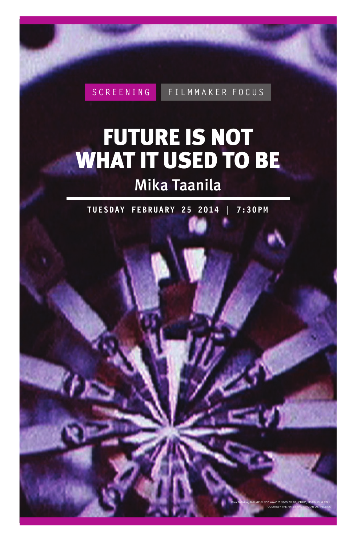**SCREENING FILMMAKER FOCUS**

# FUTURE IS NOT WHAT IT USED TO BE

## Mika Taanila

**TUE SDAY FEBRUA RY 25 2014 | 7:30P M**

mika taanila, *future is not what it used to be*, 2002, 35mm film still, courtesy the artist and kinotar oy, helsinki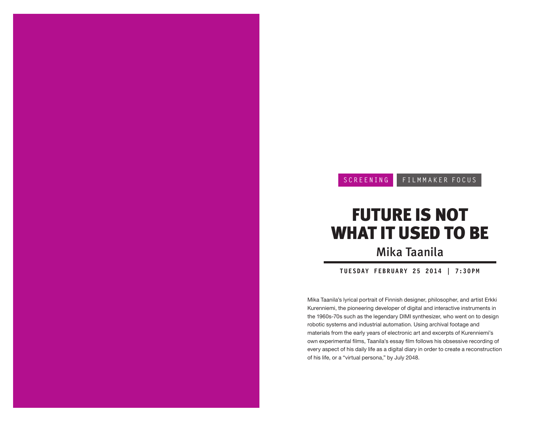### **SCREENING FILMMAKER FOCUS**

## FUTURE IS NOT WHAT IT USED TO BE Mika Taanila

**TUE SDAY FEBRUA RY 25 2014 | 7:30P M**

Mika Taanila's lyrical portrait of Finnish designer, philosopher, and artist Erkki Kurenniemi, the pioneering developer of digital and interactive instruments in the 1960s-70s such as the legendary DIMI synthesizer, who went on to design robotic systems and industrial automation. Using archival footage and materials from the early years of electronic art and excerpts of Kurenniemi's own experimental films, Taanila's essay film follows his obsessive recording of every aspect of his daily life as a digital diary in order to create a reconstruction of his life, or a "virtual persona," by July 2048.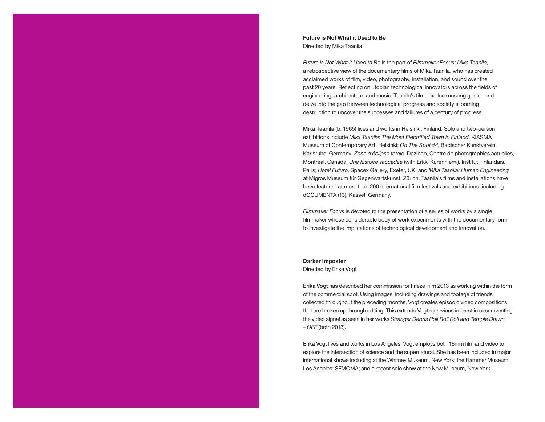#### **Future is Not What it Used to Be** Directed by Mika Taanila

*Future is Not What it Used to Be* is the part of *Filmmaker Focus: Mika Taanila*, a retrospective view of the documentary films of Mika Taanila, who has created acclaimed works of film, video, photography, installation, and sound over the past 20 years. Reflecting on utopian technological innovators across the fields of engineering, architecture, and music, Taanila's films explore unsung genius and delve into the gap between technological progress and society's looming destruction to uncover the successes and failures of a century of progress.

Mika Taanila (b. 1965) lives and works in Helsinki, Finland. Solo and two-person exhibitions include *Mika Taanila: The Most Electrified Town in Finland*, KIASMA Museum of Contemporary Art, Helsinki; *On The Spot #4*, Badischer Kunstverein, Karlsruhe, Germany; *Zone d'éclipse totale*, Dazibao, Centre de photographies actuelles, Montréal, Canada; *Une histoire saccadée* (with Erkki Kurenniemi), Institut Finlandais, Paris; *Hotel Futuro*, Spacex Gallery, Exeter, UK; and *Mika Taanila: Human Engineering* at Migros Museum für Gegenwartskunst, Zürich. Taanila's films and installations have been featured at more than 200 international film festivals and exhibitions, including dOCUMENTA (13), Kassel, Germany.

*Filmmaker Focus* is devoted to the presentation of a series of works by a single filmmaker whose considerable body of work experiments with the documentary form to investigate the implications of technological development and innovation.

#### **Darker Imposter**

#### Directed by Erika Vogt

Erika Vogt has described her commission for Frieze Film 2013 as working within the form of the commercial spot. Using images, including drawings and footage of friends collected throughout the preceding months, Vogt creates episodic video compositions that are broken up through editing. This extends Vogt's previous interest in circumventing the video signal as seen in her works *Stranger Debris Roll Roll Roll and Temple Drawn – OFF* (both 2013).

Erika Vogt lives and works in Los Angeles. Vogt employs both 16mm film and video to explore the intersection of science and the supernatural. She has been included in major international shows including at the Whitney Museum, New York; the Hammer Museum, Los Angeles; SFMOMA; and a recent solo show at the New Museum, New York.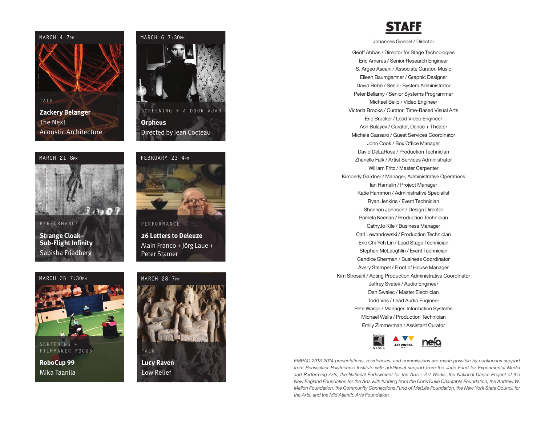

#### **MARCH 21 8pm**



**PERFORMANCE Strange Cloak– Sub-Flight Infinity** Sabisha Friedberg



### **FEBRUARY 23 4pm**



**26 Letters to Deleuze** Alain Franco + Jörg Laue +

Peter Stamer

#### **MARCH 25 7:30pm**



**S C R E E NIN G + FILMMAKER FOCUS**

**RoboCup 99** Mika Taanila



**Lucy Raven** Low Relief

## STAFF

Johannes Goebel / Director

Geoff Abbas / Director for Stage Technologies Eric Ameres / Senior Research Engineer S. Argeo Ascani / Associate Curator, Music Eileen Baumgartner / Graphic Designer David Bebb / Senior System Administrator Peter Bellamy / Senior Systems Programmer Michael Bello / Video Engineer Victoria Brooks / Curator, Time-Based Visual Arts Eric Brucker / Lead Video Engineer Ash Bulayev / Curator, Dance + Theater Michele Cassaro / Guest Services Coordinator John Cook / Box Office Manager David DeLaRosa / Production Technician Zhenelle Falk / Artist Services Administrator William Fritz / Master Carpenter Kimberly Gardner / Manager, Administrative Operations Ian Hamelin / Project Manager Katie Hammon / Administrative Specialist Ryan Jenkins / Event Technician Shannon Johnson / Design Director Pamela Keenan / Production Technician CathyJo Kile / Business Manager Carl Lewandowski / Production Technician Eric Chi-Yeh Lin / Lead Stage Technician Stephen McLaughlin / Event Technician Candice Sherman / Business Coordinator Avery Stempel / Front of House Manager Kim Strosahl / Acting Production Administrative Coordinator Jeffrey Svatek / Audio Engineer Dan Swalec / Master Electrician Todd Vos / Lead Audio Engineer Pete Wargo / Manager, Information Systems Michael Wells / Production Technician Emily Zimmerman / Assistant Curator



*EMPAC 2013-2014 presentations, residencies, and commissions are made possible by continuous support from Rensselaer Polytechnic Institute with additional support from the Jaffe Fund for Experimental Media and Performing Arts, the National Endowment for the Arts – Art Works, the National Dance Project of the New England Foundation for the Arts with funding from the Doris Duke Charitable Foundation, the Andrew W. Mellon Foundation, the Community Connections Fund of MetLife Foundation, the New York State Council for the Arts, and the Mid Atlantic Arts Foundation.*